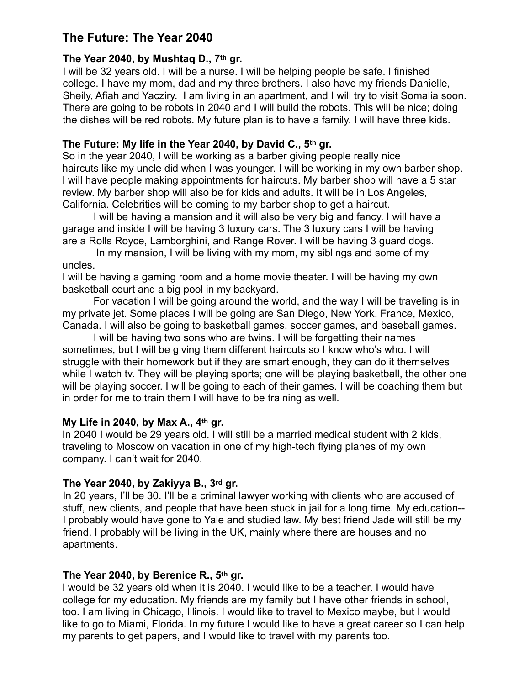# **The Future: The Year 2040**

# **The Year 2040, by Mushtaq D., 7th gr.**

I will be 32 years old. I will be a nurse. I will be helping people be safe. I finished college. I have my mom, dad and my three brothers. I also have my friends Danielle, Sheily, Afiah and Yacziry. I am living in an apartment, and I will try to visit Somalia soon. There are going to be robots in 2040 and I will build the robots. This will be nice; doing the dishes will be red robots. My future plan is to have a family. I will have three kids.

# **The Future: My life in the Year 2040, by David C., 5th gr.**

So in the year 2040, I will be working as a barber giving people really nice haircuts like my uncle did when I was younger. I will be working in my own barber shop. I will have people making appointments for haircuts. My barber shop will have a 5 star review. My barber shop will also be for kids and adults. It will be in Los Angeles, California. Celebrities will be coming to my barber shop to get a haircut.

I will be having a mansion and it will also be very big and fancy. I will have a garage and inside I will be having 3 luxury cars. The 3 luxury cars I will be having are a Rolls Royce, Lamborghini, and Range Rover. I will be having 3 guard dogs.

 In my mansion, I will be living with my mom, my siblings and some of my uncles.

I will be having a gaming room and a home movie theater. I will be having my own basketball court and a big pool in my backyard.

For vacation I will be going around the world, and the way I will be traveling is in my private jet. Some places I will be going are San Diego, New York, France, Mexico, Canada. I will also be going to basketball games, soccer games, and baseball games.

I will be having two sons who are twins. I will be forgetting their names sometimes, but I will be giving them different haircuts so I know who's who. I will struggle with their homework but if they are smart enough, they can do it themselves while I watch tv. They will be playing sports; one will be playing basketball, the other one will be playing soccer. I will be going to each of their games. I will be coaching them but in order for me to train them I will have to be training as well.

# **My Life in 2040, by Max A., 4th gr.**

In 2040 I would be 29 years old. I will still be a married medical student with 2 kids, traveling to Moscow on vacation in one of my high-tech flying planes of my own company. I can't wait for 2040.

# **The Year 2040, by Zakiyya B., 3rd gr.**

In 20 years, I'll be 30. I'll be a criminal lawyer working with clients who are accused of stuff, new clients, and people that have been stuck in jail for a long time. My education-- I probably would have gone to Yale and studied law. My best friend Jade will still be my friend. I probably will be living in the UK, mainly where there are houses and no apartments.

# **The Year 2040, by Berenice R., 5th gr.**

I would be 32 years old when it is 2040. I would like to be a teacher. I would have college for my education. My friends are my family but I have other friends in school, too. I am living in Chicago, Illinois. I would like to travel to Mexico maybe, but I would like to go to Miami, Florida. In my future I would like to have a great career so I can help my parents to get papers, and I would like to travel with my parents too.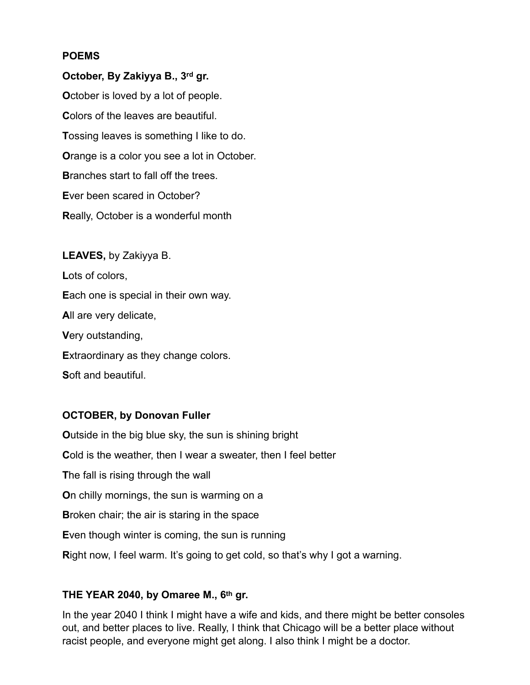### **POEMS**

### **October, By Zakiyya B., 3rd gr.**

**O**ctober is loved by a lot of people. **C**olors of the leaves are beautiful. **T**ossing leaves is something I like to do. **O**range is a color you see a lot in October. **B**ranches start to fall off the trees. **E**ver been scared in October? **R**eally, October is a wonderful month

**LEAVES,** by Zakiyya B. **L**ots of colors, **E**ach one is special in their own way. **A**ll are very delicate, **V**ery outstanding, **E**xtraordinary as they change colors. **S**oft and beautiful.

### **OCTOBER, by Donovan Fuller**

**O**utside in the big blue sky, the sun is shining bright **C**old is the weather, then I wear a sweater, then I feel better **T**he fall is rising through the wall **O**n chilly mornings, the sun is warming on a **B**roken chair; the air is staring in the space **E**ven though winter is coming, the sun is running **R**ight now, I feel warm. It's going to get cold, so that's why I got a warning.

### **THE YEAR 2040, by Omaree M., 6th gr.**

In the year 2040 I think I might have a wife and kids, and there might be better consoles out, and better places to live. Really, I think that Chicago will be a better place without racist people, and everyone might get along. I also think I might be a doctor.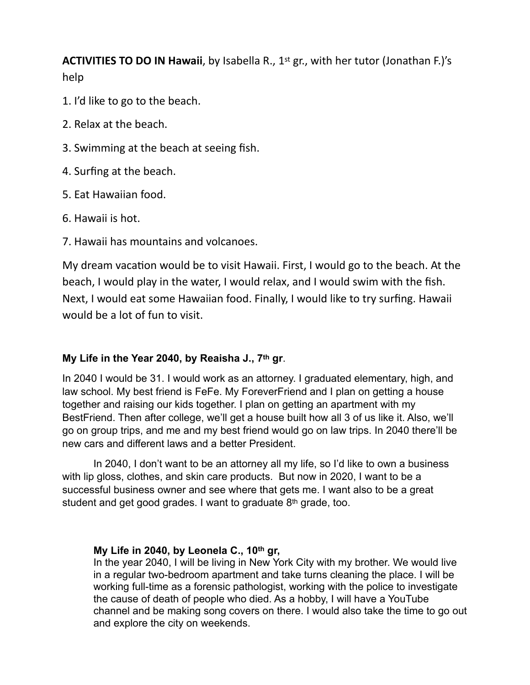**ACTIVITIES TO DO IN Hawaii**, by Isabella R., 1st gr., with her tutor (Jonathan F.)'s help

- 1. I'd like to go to the beach.
- 2. Relax at the beach.
- 3. Swimming at the beach at seeing fish.
- 4. Surfing at the beach.
- 5. Eat Hawaiian food.
- 6. Hawaii is hot.
- 7. Hawaii has mountains and volcanoes.

My dream vacation would be to visit Hawaii. First, I would go to the beach. At the beach, I would play in the water, I would relax, and I would swim with the fish. Next, I would eat some Hawaiian food. Finally, I would like to try surfing. Hawaii would be a lot of fun to visit.

### **My Life in the Year 2040, by Reaisha J., 7th gr**.

In 2040 I would be 31. I would work as an attorney. I graduated elementary, high, and law school. My best friend is FeFe. My ForeverFriend and I plan on getting a house together and raising our kids together. I plan on getting an apartment with my BestFriend. Then after college, we'll get a house built how all 3 of us like it. Also, we'll go on group trips, and me and my best friend would go on law trips. In 2040 there'll be new cars and different laws and a better President.

In 2040, I don't want to be an attorney all my life, so I'd like to own a business with lip gloss, clothes, and skin care products. But now in 2020, I want to be a successful business owner and see where that gets me. I want also to be a great student and get good grades. I want to graduate 8<sup>th</sup> grade, too.

### **My Life in 2040, by Leonela C., 10th gr,**

In the year 2040, I will be living in New York City with my brother. We would live in a regular two-bedroom apartment and take turns cleaning the place. I will be working full-time as a forensic pathologist, working with the police to investigate the cause of death of people who died. As a hobby, I will have a YouTube channel and be making song covers on there. I would also take the time to go out and explore the city on weekends.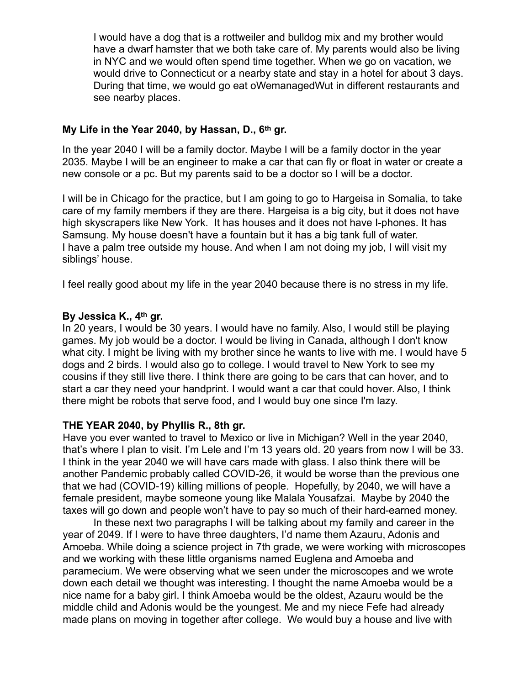I would have a dog that is a rottweiler and bulldog mix and my brother would have a dwarf hamster that we both take care of. My parents would also be living in NYC and we would often spend time together. When we go on vacation, we would drive to Connecticut or a nearby state and stay in a hotel for about 3 days. During that time, we would go eat oWemanagedWut in different restaurants and see nearby places.

### **My Life in the Year 2040, by Hassan, D., 6th gr.**

In the year 2040 I will be a family doctor. Maybe I will be a family doctor in the year 2035. Maybe I will be an engineer to make a car that can fly or float in water or create a new console or a pc. But my parents said to be a doctor so I will be a doctor.

I will be in Chicago for the practice, but I am going to go to Hargeisa in Somalia, to take care of my family members if they are there. Hargeisa is a big city, but it does not have high skyscrapers like New York. It has houses and it does not have I-phones. It has Samsung. My house doesn't have a fountain but it has a big tank full of water. I have a palm tree outside my house. And when I am not doing my job, I will visit my siblings' house.

I feel really good about my life in the year 2040 because there is no stress in my life.

### **By Jessica K., 4th gr.**

In 20 years, I would be 30 years. I would have no family. Also, I would still be playing games. My job would be a doctor. I would be living in Canada, although I don't know what city. I might be living with my brother since he wants to live with me. I would have 5 dogs and 2 birds. I would also go to college. I would travel to New York to see my cousins if they still live there. I think there are going to be cars that can hover, and to start a car they need your handprint. I would want a car that could hover. Also, I think there might be robots that serve food, and I would buy one since I'm lazy.

### **THE YEAR 2040, by Phyllis R., 8th gr.**

Have you ever wanted to travel to Mexico or live in Michigan? Well in the year 2040, that's where I plan to visit. I'm Lele and I'm 13 years old. 20 years from now I will be 33. I think in the year 2040 we will have cars made with glass. I also think there will be another Pandemic probably called COVID-26, it would be worse than the previous one that we had (COVID-19) killing millions of people. Hopefully, by 2040, we will have a female president, maybe someone young like Malala Yousafzai. Maybe by 2040 the taxes will go down and people won't have to pay so much of their hard-earned money.

In these next two paragraphs I will be talking about my family and career in the year of 2049. If I were to have three daughters, I'd name them Azauru, Adonis and Amoeba. While doing a science project in 7th grade, we were working with microscopes and we working with these little organisms named Euglena and Amoeba and paramecium. We were observing what we seen under the microscopes and we wrote down each detail we thought was interesting. I thought the name Amoeba would be a nice name for a baby girl. I think Amoeba would be the oldest, Azauru would be the middle child and Adonis would be the youngest. Me and my niece Fefe had already made plans on moving in together after college. We would buy a house and live with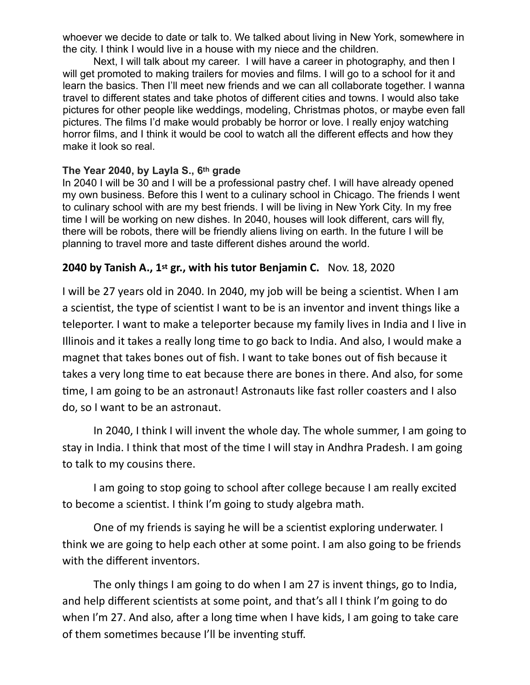whoever we decide to date or talk to. We talked about living in New York, somewhere in the city. I think I would live in a house with my niece and the children.

Next, I will talk about my career. I will have a career in photography, and then I will get promoted to making trailers for movies and films. I will go to a school for it and learn the basics. Then I'll meet new friends and we can all collaborate together. I wanna travel to different states and take photos of different cities and towns. I would also take pictures for other people like weddings, modeling, Christmas photos, or maybe even fall pictures. The films I'd make would probably be horror or love. I really enjoy watching horror films, and I think it would be cool to watch all the different effects and how they make it look so real.

### **The Year 2040, by Layla S., 6th grade**

In 2040 I will be 30 and I will be a professional pastry chef. I will have already opened my own business. Before this I went to a culinary school in Chicago. The friends I went to culinary school with are my best friends. I will be living in New York City. In my free time I will be working on new dishes. In 2040, houses will look different, cars will fly, there will be robots, there will be friendly aliens living on earth. In the future I will be planning to travel more and taste different dishes around the world.

# **2040 by Tanish A., 1st gr., with his tutor Benjamin C.** Nov. 18, 2020

I will be 27 years old in 2040. In 2040, my job will be being a scientist. When I am a scientist, the type of scientist I want to be is an inventor and invent things like a teleporter. I want to make a teleporter because my family lives in India and I live in Illinois and it takes a really long time to go back to India. And also, I would make a magnet that takes bones out of fish. I want to take bones out of fish because it takes a very long time to eat because there are bones in there. And also, for some time, I am going to be an astronaut! Astronauts like fast roller coasters and I also do, so I want to be an astronaut.

In 2040, I think I will invent the whole day. The whole summer, I am going to stay in India. I think that most of the time I will stay in Andhra Pradesh. I am going to talk to my cousins there.

I am going to stop going to school after college because I am really excited to become a scientist. I think I'm going to study algebra math.

One of my friends is saying he will be a scientist exploring underwater. I think we are going to help each other at some point. I am also going to be friends with the different inventors.

The only things I am going to do when I am 27 is invent things, go to India, and help different scientists at some point, and that's all I think I'm going to do when I'm 27. And also, after a long time when I have kids, I am going to take care of them sometimes because I'll be inventing stuff.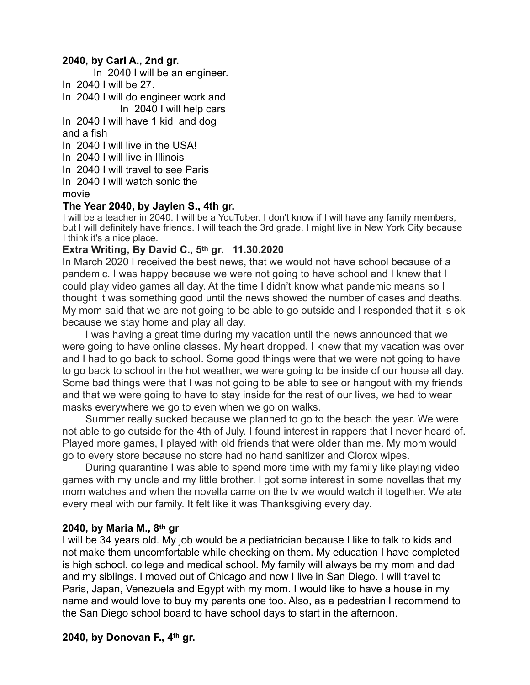### **2040, by Carl A., 2nd gr.**

- In 2040 I will be an engineer.
- In 2040 I will be 27.
- In 2040 I will do engineer work and
- In 2040 I will help cars

In 2040 I will have 1 kid and dog and a fish

- In 2040 I will live in the USA!
- In 2040 I will live in Illinois
- In 2040 I will travel to see Paris
- In 2040 I will watch sonic the

#### movie

#### **The Year 2040, by Jaylen S., 4th gr.**

I will be a teacher in 2040. I will be a YouTuber. I don't know if I will have any family members, but I will definitely have friends. I will teach the 3rd grade. I might live in New York City because I think it's a nice place.

#### **Extra Writing, By David C., 5th gr. 11.30.2020**

In March 2020 I received the best news, that we would not have school because of a pandemic. I was happy because we were not going to have school and I knew that I could play video games all day. At the time I didn't know what pandemic means so I thought it was something good until the news showed the number of cases and deaths. My mom said that we are not going to be able to go outside and I responded that it is ok because we stay home and play all day.

 I was having a great time during my vacation until the news announced that we were going to have online classes. My heart dropped. I knew that my vacation was over and I had to go back to school. Some good things were that we were not going to have to go back to school in the hot weather, we were going to be inside of our house all day. Some bad things were that I was not going to be able to see or hangout with my friends and that we were going to have to stay inside for the rest of our lives, we had to wear masks everywhere we go to even when we go on walks.

 Summer really sucked because we planned to go to the beach the year. We were not able to go outside for the 4th of July. I found interest in rappers that I never heard of. Played more games, I played with old friends that were older than me. My mom would go to every store because no store had no hand sanitizer and Clorox wipes.

 During quarantine I was able to spend more time with my family like playing video games with my uncle and my little brother. I got some interest in some novellas that my mom watches and when the novella came on the tv we would watch it together. We ate every meal with our family. It felt like it was Thanksgiving every day.

#### **2040, by Maria M., 8th gr**

I will be 34 years old. My job would be a pediatrician because I like to talk to kids and not make them uncomfortable while checking on them. My education I have completed is high school, college and medical school. My family will always be my mom and dad and my siblings. I moved out of Chicago and now I live in San Diego. I will travel to Paris, Japan, Venezuela and Egypt with my mom. I would like to have a house in my name and would love to buy my parents one too. Also, as a pedestrian I recommend to the San Diego school board to have school days to start in the afternoon.

#### **2040, by Donovan F., 4th gr.**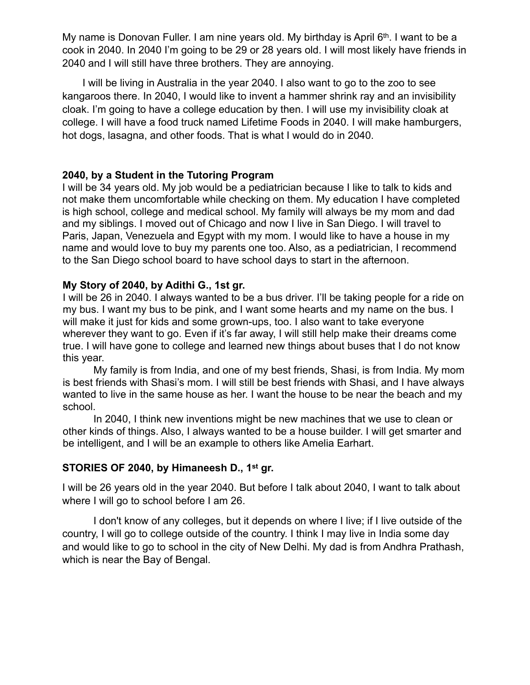My name is Donovan Fuller. I am nine years old. My birthday is April 6<sup>th</sup>. I want to be a cook in 2040. In 2040 I'm going to be 29 or 28 years old. I will most likely have friends in 2040 and I will still have three brothers. They are annoying.

 I will be living in Australia in the year 2040. I also want to go to the zoo to see kangaroos there. In 2040, I would like to invent a hammer shrink ray and an invisibility cloak. I'm going to have a college education by then. I will use my invisibility cloak at college. I will have a food truck named Lifetime Foods in 2040. I will make hamburgers, hot dogs, lasagna, and other foods. That is what I would do in 2040.

### **2040, by a Student in the Tutoring Program**

I will be 34 years old. My job would be a pediatrician because I like to talk to kids and not make them uncomfortable while checking on them. My education I have completed is high school, college and medical school. My family will always be my mom and dad and my siblings. I moved out of Chicago and now I live in San Diego. I will travel to Paris, Japan, Venezuela and Egypt with my mom. I would like to have a house in my name and would love to buy my parents one too. Also, as a pediatrician, I recommend to the San Diego school board to have school days to start in the afternoon.

### **My Story of 2040, by Adithi G., 1st gr.**

I will be 26 in 2040. I always wanted to be a bus driver. I'll be taking people for a ride on my bus. I want my bus to be pink, and I want some hearts and my name on the bus. I will make it just for kids and some grown-ups, too. I also want to take everyone wherever they want to go. Even if it's far away, I will still help make their dreams come true. I will have gone to college and learned new things about buses that I do not know this year.

My family is from India, and one of my best friends, Shasi, is from India. My mom is best friends with Shasi's mom. I will still be best friends with Shasi, and I have always wanted to live in the same house as her. I want the house to be near the beach and my school.

In 2040, I think new inventions might be new machines that we use to clean or other kinds of things. Also, I always wanted to be a house builder. I will get smarter and be intelligent, and I will be an example to others like Amelia Earhart.

### **STORIES OF 2040, by Himaneesh D., 1st gr.**

I will be 26 years old in the year 2040. But before I talk about 2040, I want to talk about where I will go to school before I am 26.

I don't know of any colleges, but it depends on where I live; if I live outside of the country, I will go to college outside of the country. I think I may live in India some day and would like to go to school in the city of New Delhi. My dad is from Andhra Prathash, which is near the Bay of Bengal.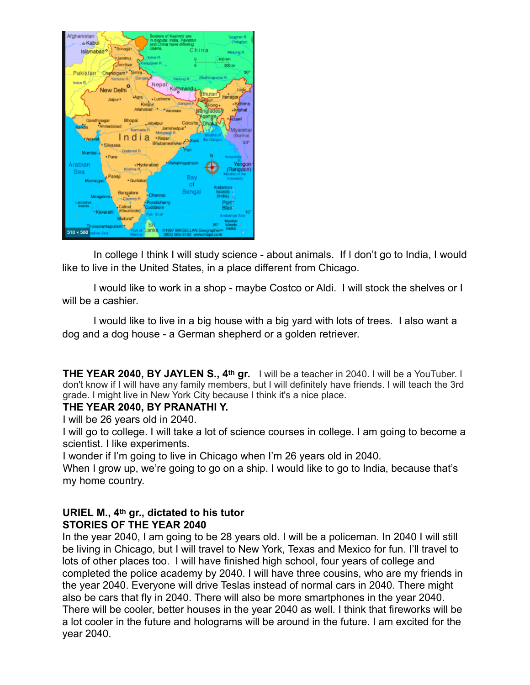

In college I think I will study science - about animals. If I don't go to India, I would like to live in the United States, in a place different from Chicago.

I would like to work in a shop - maybe Costco or Aldi. I will stock the shelves or I will be a cashier.

I would like to live in a big house with a big yard with lots of trees. I also want a dog and a dog house - a German shepherd or a golden retriever.

**THE YEAR 2040, BY JAYLEN S., 4th gr.** I will be a teacher in 2040. I will be a YouTuber. I don't know if I will have any family members, but I will definitely have friends. I will teach the 3rd grade. I might live in New York City because I think it's a nice place.

### **THE YEAR 2040, BY PRANATHI Y.**

I will be 26 years old in 2040.

I will go to college. I will take a lot of science courses in college. I am going to become a scientist. I like experiments.

I wonder if I'm going to live in Chicago when I'm 26 years old in 2040.

When I grow up, we're going to go on a ship. I would like to go to India, because that's my home country.

# **URIEL M., 4th gr., dictated to his tutor STORIES OF THE YEAR 2040**

In the year 2040, I am going to be 28 years old. I will be a policeman. In 2040 I will still be living in Chicago, but I will travel to New York, Texas and Mexico for fun. I'll travel to lots of other places too. I will have finished high school, four years of college and completed the police academy by 2040. I will have three cousins, who are my friends in the year 2040. Everyone will drive Teslas instead of normal cars in 2040. There might also be cars that fly in 2040. There will also be more smartphones in the year 2040. There will be cooler, better houses in the year 2040 as well. I think that fireworks will be a lot cooler in the future and holograms will be around in the future. I am excited for the year 2040.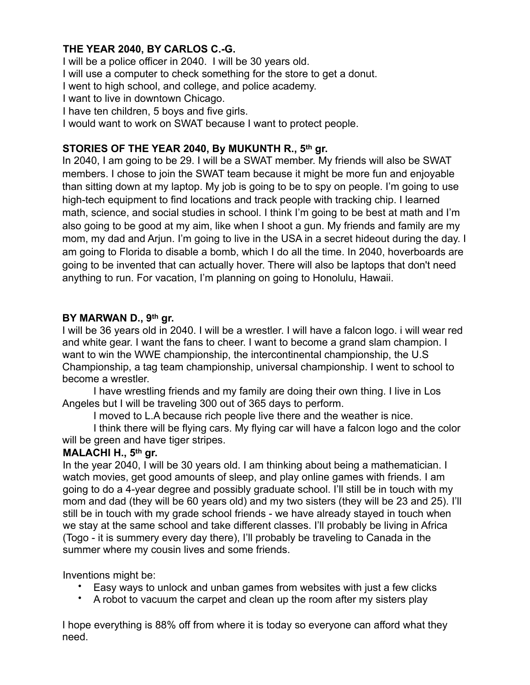# **THE YEAR 2040, BY CARLOS C.-G.**

I will be a police officer in 2040. I will be 30 years old. I will use a computer to check something for the store to get a donut. I went to high school, and college, and police academy. I want to live in downtown Chicago.

I have ten children, 5 boys and five girls.

I would want to work on SWAT because I want to protect people.

# **STORIES OF THE YEAR 2040, By MUKUNTH R., 5th gr.**

In 2040, I am going to be 29. I will be a SWAT member. My friends will also be SWAT members. I chose to join the SWAT team because it might be more fun and enjoyable than sitting down at my laptop. My job is going to be to spy on people. I'm going to use high-tech equipment to find locations and track people with tracking chip. I learned math, science, and social studies in school. I think I'm going to be best at math and I'm also going to be good at my aim, like when I shoot a gun. My friends and family are my mom, my dad and Arjun. I'm going to live in the USA in a secret hideout during the day. I am going to Florida to disable a bomb, which I do all the time. In 2040, hoverboards are going to be invented that can actually hover. There will also be laptops that don't need anything to run. For vacation, I'm planning on going to Honolulu, Hawaii.

# **BY MARWAN D., 9th gr.**

I will be 36 years old in 2040. I will be a wrestler. I will have a falcon logo. i will wear red and white gear. I want the fans to cheer. I want to become a grand slam champion. I want to win the WWE championship, the intercontinental championship, the U.S Championship, a tag team championship, universal championship. I went to school to become a wrestler.

I have wrestling friends and my family are doing their own thing. I live in Los Angeles but I will be traveling 300 out of 365 days to perform.

I moved to L.A because rich people live there and the weather is nice.

I think there will be flying cars. My flying car will have a falcon logo and the color will be green and have tiger stripes.

# **MALACHI H., 5th gr.**

In the year 2040, I will be 30 years old. I am thinking about being a mathematician. I watch movies, get good amounts of sleep, and play online games with friends. I am going to do a 4-year degree and possibly graduate school. I'll still be in touch with my mom and dad (they will be 60 years old) and my two sisters (they will be 23 and 25). I'll still be in touch with my grade school friends - we have already stayed in touch when we stay at the same school and take different classes. I'll probably be living in Africa (Togo - it is summery every day there), I'll probably be traveling to Canada in the summer where my cousin lives and some friends.

Inventions might be:

- Easy ways to unlock and unban games from websites with just a few clicks
- A robot to vacuum the carpet and clean up the room after my sisters play

I hope everything is 88% off from where it is today so everyone can afford what they need.